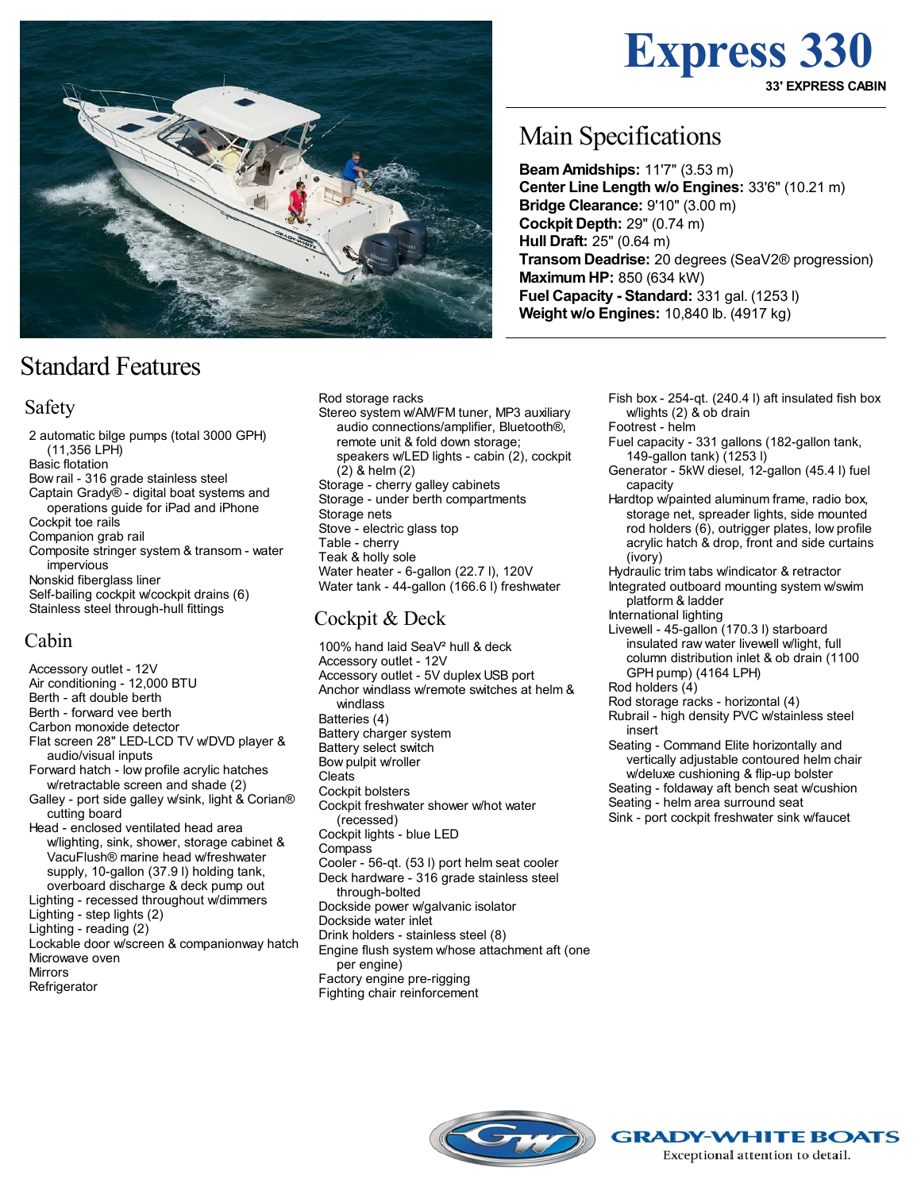

# Standard Features

### Safety

2 automatic bilge pumps (total 3000 GPH) (11,356 LPH) Basic flotation Bow rail - 316 grade stainless steel Captain Grady® - digital boat systems and operations guide for iPad and iPhone Cockpit toe rails Companion grab rail Composite stringer system & transom - water impervious Nonskid fiberglass liner Self-bailing cockpit w/cockpit drains (6) Stainless steel through-hull fittings

### Cabin

Accessory outlet - 12V Air conditioning - 12,000 BTU Berth - aft double berth Berth - forward vee berth Carbon monoxide detector Flat screen 28" LED-LCD TV w/DVD player & audio/visual inputs Forward hatch - low profile acrylic hatches w/retractable screen and shade (2) Galley - port side galley w/sink, light & Corian® cutting board Head - enclosed ventilated head area w/lighting, sink, shower, storage cabinet & VacuFlush® marine head w/freshwater supply, 10-gallon (37.9 l) holding tank, overboard discharge & deck pump out Lighting - recessed throughout w/dimmers Lighting - step lights (2) Lighting - reading (2) Lockable door w/screen & companionway hatch Microwave oven Mirrors Refrigerator

Rod storage racks Stereo system w/AM/FM tuner, MP3 auxiliary audio connections/amplifier, Bluetooth®, remote unit & fold down storage; speakers w/LED lights - cabin (2), cockpit (2) & helm (2) Storage - cherry galley cabinets Storage - under berth compartments Storage nets Stove - electric glass top Table - cherry Teak & holly sole Water heater - 6-gallon (22.7 l), 120V Water tank - 44-gallon (166.6 l) freshwater

### Cockpit & Deck

100% hand laid SeaV² hull & deck Accessory outlet - 12V Accessory outlet - 5V duplex USB port Anchor windlass w/remote switches at helm & windlass Batteries (4) Battery charger system Battery select switch Bow pulpit w/roller Cleats Cockpit bolsters Cockpit freshwater shower w/hot water (recessed) Cockpit lights - blue LED **Compass** Cooler - 56-qt. (53 l) port helm seat cooler Deck hardware - 316 grade stainless steel through-bolted Dockside power w/galvanic isolator Dockside water inlet Drink holders - stainless steel (8) Engine flush system w/hose attachment aft (one per engine) Factory engine pre-rigging

Fighting chair reinforcement

Main Specifications

**BeamAmidships:** 11'7" (3.53 m) **Center Line Length w/o Engines:** 33'6" (10.21 m) **Bridge Clearance:** 9'10" (3.00 m) **Cockpit Depth:** 29" (0.74 m) **Hull Draft:** 25" (0.64 m) **TransomDeadrise:** 20 degrees (SeaV2® progression) **MaximumHP:** 850 (634 kW) **Fuel Capacity - Standard:** 331 gal. (1253 l) **Weight w/o Engines:** 10,840 lb. (4917 kg)

> Fish box - 254-qt. (240.4 l) aft insulated fish box w/lights (2) & ob drain Footrest - helm

**Express 330**

**33' EXPRESS CABIN**

Fuel capacity - 331 gallons (182-gallon tank, 149-gallon tank) (1253 l)

- Generator 5kW diesel, 12-gallon (45.4 l) fuel capacity
- Hardtop w/painted aluminum frame, radio box, storage net, spreader lights, side mounted rod holders (6), outrigger plates, low profile acrylic hatch & drop, front and side curtains (ivory)
- Hydraulic trim tabs w/indicator & retractor

Integrated outboard mounting system w/swim platform & ladder

International lighting Livewell - 45-gallon (170.3 l) starboard insulated raw water livewell w/light, full column distribution inlet & ob drain (1100

GPH pump) (4164 LPH)

Rod holders (4)

Rod storage racks - horizontal (4)

Rubrail - high density PVC w/stainless steel insert

Seating - Command Elite horizontally and vertically adjustable contoured helm chair w/deluxe cushioning & flip-up bolster Seating - foldaway aft bench seat w/cushion Seating - helm area surround seat Sink - port cockpit freshwater sink w/faucet



**GRADY-WHITE BOATS** Exceptional attention to detail.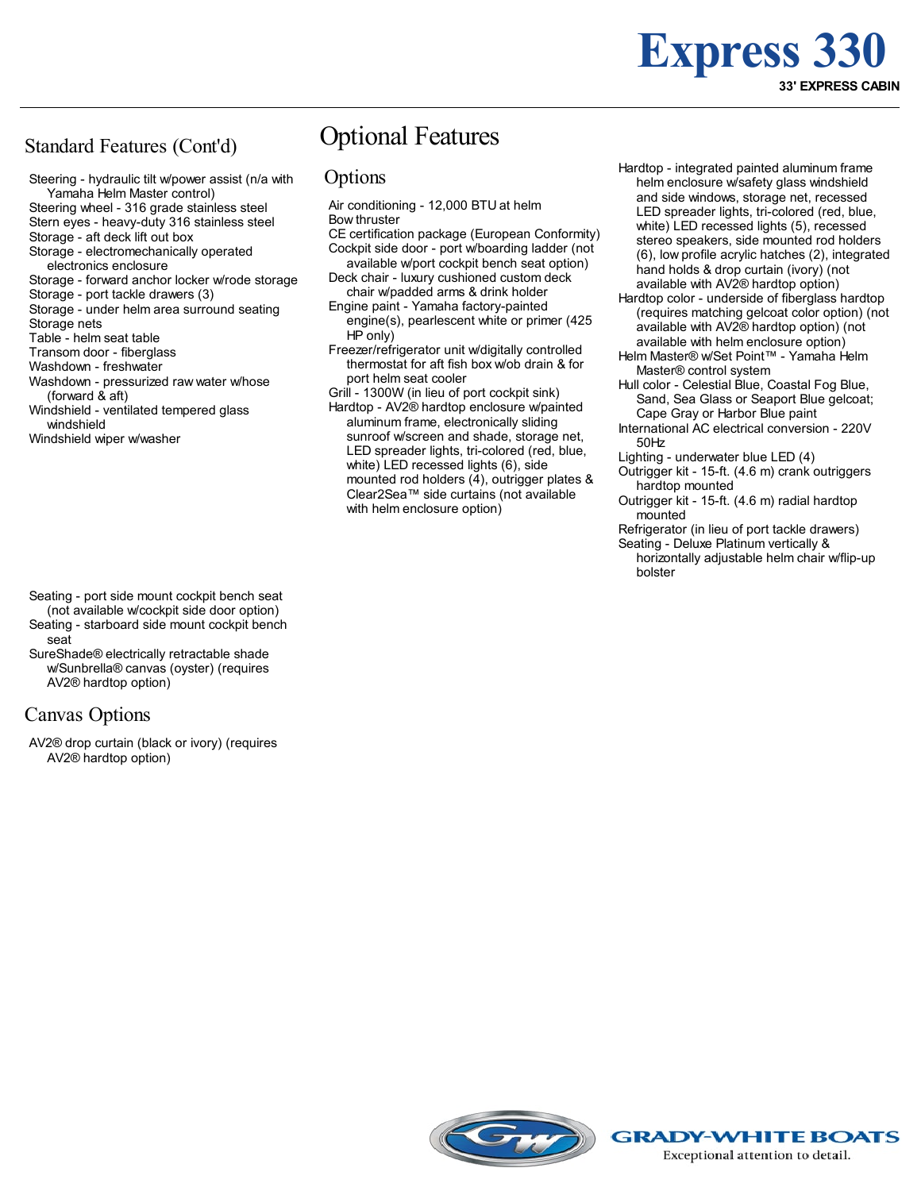## **Express 330 33' EXPRESS CABIN**

### Standard Features (Cont'd)

Steering - hydraulic tilt w/power assist (n/a with Yamaha Helm Master control) Steering wheel - 316 grade stainless steel

Stern eyes - heavy-duty 316 stainless steel

- Storage aft deck lift out box
- Storage electromechanically operated electronics enclosure
- Storage forward anchor locker w/rode storage
- Storage port tackle drawers (3)
- Storage under helm area surround seating
- Storage nets
- Table helm seat table Transom door - fiberglass
- Washdown freshwater
- Washdown pressurized raw water w/hose
- (forward & aft) Windshield - ventilated tempered glass windshield
- Windshield wiper w/washer

### Optional Features

#### **Options**

- Air conditioning 12,000 BTU at helm Bow thruster
- CE certification package (European Conformity) Cockpit side door - port w/boarding ladder (not available w/port cockpit bench seat option)
- Deck chair luxury cushioned custom deck chair w/padded arms & drink holder
- Engine paint Yamaha factory-painted engine(s), pearlescent white or primer (425 HP only)
- Freezer/refrigerator unit w/digitally controlled thermostat for aft fish box w/ob drain & for port helm seat cooler
- Grill 1300W (in lieu of port cockpit sink)
- Hardtop AV2® hardtop enclosure w/painted aluminum frame, electronically sliding sunroof w/screen and shade, storage net, LED spreader lights, tri-colored (red, blue, white) LED recessed lights (6), side mounted rod holders (4), outrigger plates & Clear2Sea™ side curtains (not available with helm enclosure option)
- Hardtop integrated painted aluminum frame helm enclosure w/safety glass windshield and side windows, storage net, recessed LED spreader lights, tri-colored (red, blue, white) LED recessed lights (5), recessed stereo speakers, side mounted rod holders (6), low profile acrylic hatches (2), integrated hand holds & drop curtain (ivory) (not available with AV2® hardtop option)
- Hardtop color underside of fiberglass hardtop (requires matching gelcoat color option) (not available with AV2® hardtop option) (not available with helm enclosure option)
- Helm Master® w/Set Point™ Yamaha Helm Master® control system
- Hull color Celestial Blue, Coastal Fog Blue, Sand, Sea Glass or Seaport Blue gelcoat; Cape Gray or Harbor Blue paint
- International AC electrical conversion 220V 50Hz
- Lighting underwater blue LED (4)
- Outrigger kit 15-ft. (4.6 m) crank outriggers hardtop mounted
- Outrigger kit 15-ft. (4.6 m) radial hardtop mounted
- Refrigerator (in lieu of port tackle drawers)
- Seating Deluxe Platinum vertically &
	- horizontally adjustable helm chair w/flip-up bolster

- Seating port side mount cockpit bench seat (not available w/cockpit side door option)
- Seating starboard side mount cockpit bench seat
- SureShade® electrically retractable shade w/Sunbrella® canvas (oyster) (requires AV2® hardtop option)

### Canvas Options

AV2® drop curtain (black or ivory) (requires AV2® hardtop option)